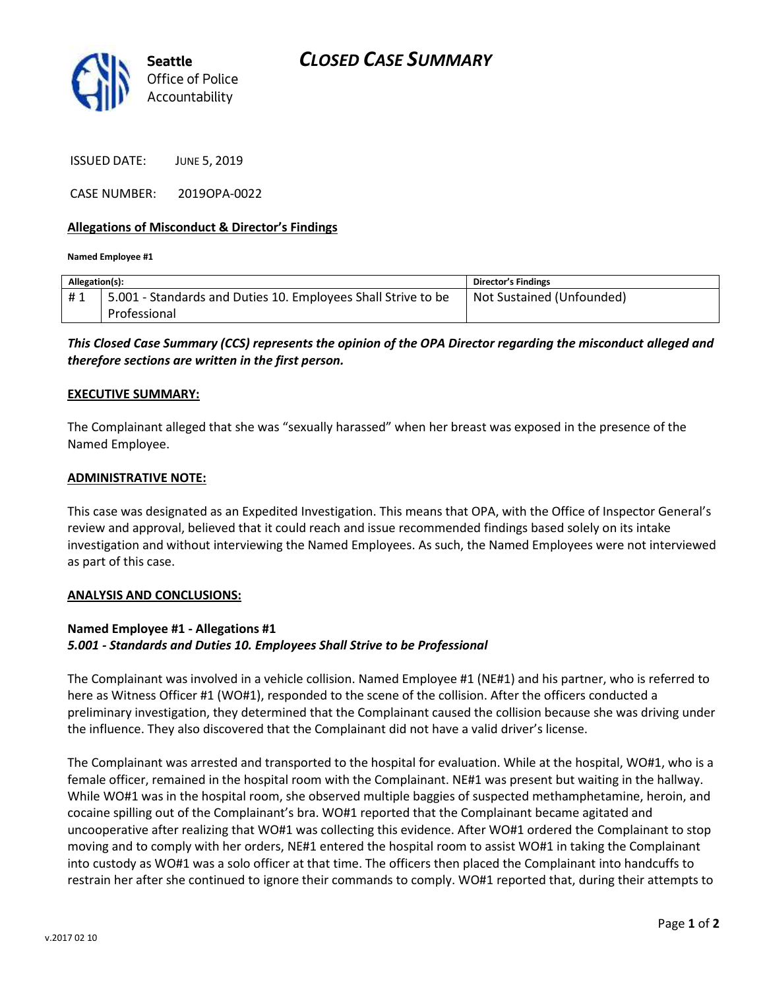

ISSUED DATE: JUNE 5, 2019

CASE NUMBER: 2019OPA-0022

### **Allegations of Misconduct & Director's Findings**

**Named Employee #1**

| Allegation(s): |                                                               | Director's Findings       |
|----------------|---------------------------------------------------------------|---------------------------|
| #1             | 5.001 - Standards and Duties 10. Employees Shall Strive to be | Not Sustained (Unfounded) |
|                | Professional                                                  |                           |

*This Closed Case Summary (CCS) represents the opinion of the OPA Director regarding the misconduct alleged and therefore sections are written in the first person.* 

#### **EXECUTIVE SUMMARY:**

The Complainant alleged that she was "sexually harassed" when her breast was exposed in the presence of the Named Employee.

#### **ADMINISTRATIVE NOTE:**

This case was designated as an Expedited Investigation. This means that OPA, with the Office of Inspector General's review and approval, believed that it could reach and issue recommended findings based solely on its intake investigation and without interviewing the Named Employees. As such, the Named Employees were not interviewed as part of this case.

#### **ANALYSIS AND CONCLUSIONS:**

## **Named Employee #1 - Allegations #1** *5.001 - Standards and Duties 10. Employees Shall Strive to be Professional*

The Complainant was involved in a vehicle collision. Named Employee #1 (NE#1) and his partner, who is referred to here as Witness Officer #1 (WO#1), responded to the scene of the collision. After the officers conducted a preliminary investigation, they determined that the Complainant caused the collision because she was driving under the influence. They also discovered that the Complainant did not have a valid driver's license.

The Complainant was arrested and transported to the hospital for evaluation. While at the hospital, WO#1, who is a female officer, remained in the hospital room with the Complainant. NE#1 was present but waiting in the hallway. While WO#1 was in the hospital room, she observed multiple baggies of suspected methamphetamine, heroin, and cocaine spilling out of the Complainant's bra. WO#1 reported that the Complainant became agitated and uncooperative after realizing that WO#1 was collecting this evidence. After WO#1 ordered the Complainant to stop moving and to comply with her orders, NE#1 entered the hospital room to assist WO#1 in taking the Complainant into custody as WO#1 was a solo officer at that time. The officers then placed the Complainant into handcuffs to restrain her after she continued to ignore their commands to comply. WO#1 reported that, during their attempts to